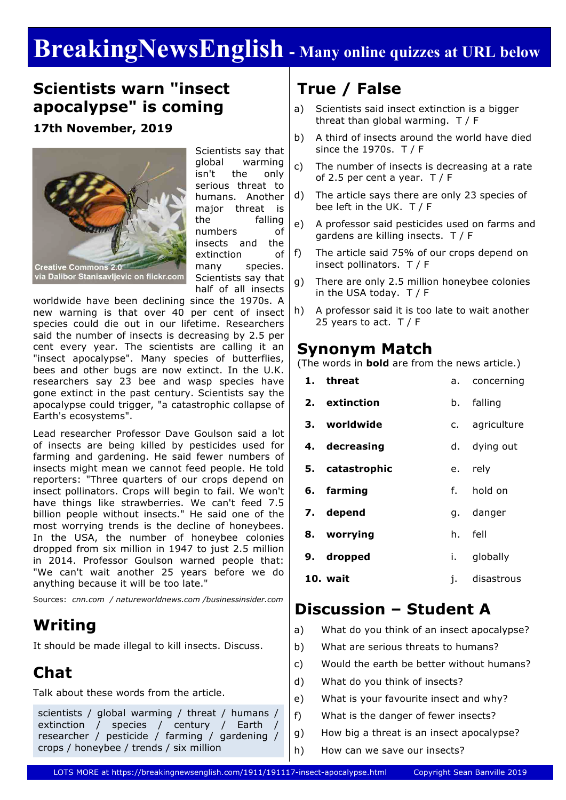# **BreakingNewsEnglish - Many online quizzes at URL below**

#### **Scientists warn "insect apocalypse" is coming**

**17th November, 2019**



Scientists say that global warming isn't the only serious threat to humans. Another major threat is the falling numbers of insects and the extinction of many species. Scientists say that half of all insects

worldwide have been declining since the 1970s. A new warning is that over 40 per cent of insect species could die out in our lifetime. Researchers said the number of insects is decreasing by 2.5 per cent every year. The scientists are calling it an "insect apocalypse". Many species of butterflies, bees and other bugs are now extinct. In the U.K. researchers say 23 bee and wasp species have gone extinct in the past century. Scientists say the apocalypse could trigger, "a catastrophic collapse of Earth's ecosystems".

Lead researcher Professor Dave Goulson said a lot of insects are being killed by pesticides used for farming and gardening. He said fewer numbers of insects might mean we cannot feed people. He told reporters: "Three quarters of our crops depend on insect pollinators. Crops will begin to fail. We won't have things like strawberries. We can't feed 7.5 billion people without insects." He said one of the most worrying trends is the decline of honeybees. In the USA, the number of honeybee colonies dropped from six million in 1947 to just 2.5 million in 2014. Professor Goulson warned people that: "We can't wait another 25 years before we do anything because it will be too late."

Sources: *cnn.com / natureworldnews.com /businessinsider.com*

#### **Writing**

It should be made illegal to kill insects. Discuss.

### **Chat**

Talk about these words from the article.

scientists / global warming / threat / humans / extinction / species / century / Earth researcher / pesticide / farming / gardening / crops / honeybee / trends / six million

### **True / False**

- a) Scientists said insect extinction is a bigger threat than global warming. T / F
- b) A third of insects around the world have died since the 1970s. T / F
- c) The number of insects is decreasing at a rate of 2.5 per cent a year. T / F
- d) The article says there are only 23 species of bee left in the UK. T / F
- e) A professor said pesticides used on farms and gardens are killing insects. T / F
- f) The article said 75% of our crops depend on insect pollinators. T / F
- g) There are only 2.5 million honeybee colonies in the USA today. T / F
- h) A professor said it is too late to wait another 25 years to act.  $T / F$

#### **Synonym Match**

(The words in **bold** are from the news article.)

| 1. threat       |      | a. concerning  |
|-----------------|------|----------------|
| 2. extinction   | b.   | falling        |
| 3. worldwide    |      | c. agriculture |
| 4. decreasing   |      | d. dying out   |
| 5. catastrophic |      | e. rely        |
| 6. farming      |      | f. hold on     |
| 7. depend       |      | g. danger      |
| 8. worrying     |      | h. fell        |
| 9. dropped      | i. I | globally       |
| 10. wait        | j.   | disastrous     |
|                 |      |                |

### **Discussion – Student A**

- a) What do you think of an insect apocalypse?
- b) What are serious threats to humans?
- c) Would the earth be better without humans?
- d) What do you think of insects?
- e) What is your favourite insect and why?
- f) What is the danger of fewer insects?
- g) How big a threat is an insect apocalypse?
- h) How can we save our insects?